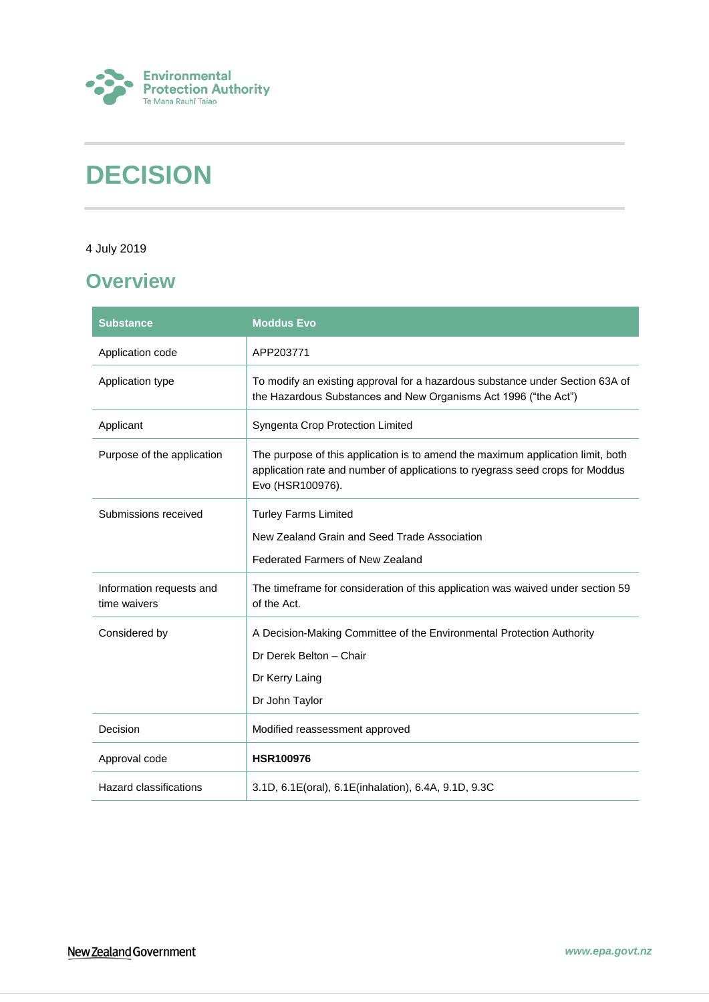

# **DECISION**

#### 4 July 2019

# <span id="page-0-0"></span>**Overview**

| <b>Substance</b>                         | <b>Moddus Evo</b>                                                                                                                                                                    |
|------------------------------------------|--------------------------------------------------------------------------------------------------------------------------------------------------------------------------------------|
| Application code                         | APP203771                                                                                                                                                                            |
| Application type                         | To modify an existing approval for a hazardous substance under Section 63A of<br>the Hazardous Substances and New Organisms Act 1996 ("the Act")                                     |
| Applicant                                | Syngenta Crop Protection Limited                                                                                                                                                     |
| Purpose of the application               | The purpose of this application is to amend the maximum application limit, both<br>application rate and number of applications to ryegrass seed crops for Moddus<br>Evo (HSR100976). |
| Submissions received                     | <b>Turley Farms Limited</b>                                                                                                                                                          |
|                                          | New Zealand Grain and Seed Trade Association                                                                                                                                         |
|                                          | <b>Federated Farmers of New Zealand</b>                                                                                                                                              |
| Information requests and<br>time waivers | The timeframe for consideration of this application was waived under section 59<br>of the Act.                                                                                       |
| Considered by                            | A Decision-Making Committee of the Environmental Protection Authority                                                                                                                |
|                                          | Dr Derek Belton - Chair                                                                                                                                                              |
|                                          | Dr Kerry Laing                                                                                                                                                                       |
|                                          | Dr John Taylor                                                                                                                                                                       |
| Decision                                 | Modified reassessment approved                                                                                                                                                       |
| Approval code                            | <b>HSR100976</b>                                                                                                                                                                     |
| Hazard classifications                   | 3.1D, 6.1E(oral), 6.1E(inhalation), 6.4A, 9.1D, 9.3C                                                                                                                                 |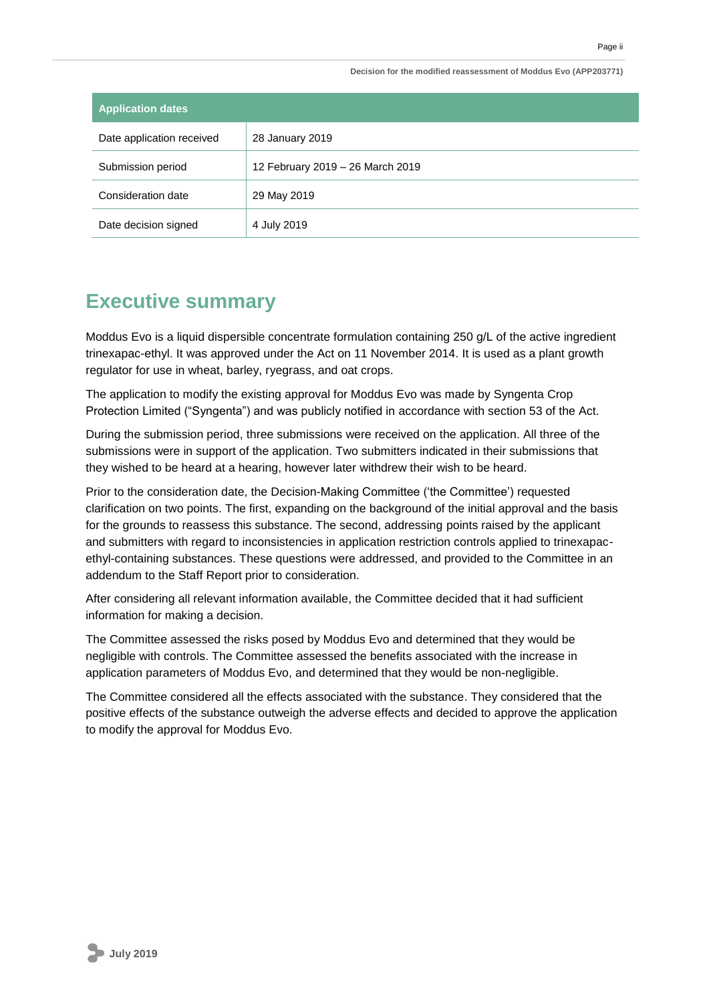**Decision for the modified reassessment of Moddus Evo (APP203771)**

| <b>Application dates</b>  |                                  |
|---------------------------|----------------------------------|
| Date application received | 28 January 2019                  |
| Submission period         | 12 February 2019 - 26 March 2019 |
| Consideration date        | 29 May 2019                      |
| Date decision signed      | 4 July 2019                      |

# <span id="page-1-0"></span>**Executive summary**

Moddus Evo is a liquid dispersible concentrate formulation containing 250 g/L of the active ingredient trinexapac-ethyl. It was approved under the Act on 11 November 2014. It is used as a plant growth regulator for use in wheat, barley, ryegrass, and oat crops.

The application to modify the existing approval for Moddus Evo was made by Syngenta Crop Protection Limited ("Syngenta") and was publicly notified in accordance with section 53 of the Act.

During the submission period, three submissions were received on the application. All three of the submissions were in support of the application. Two submitters indicated in their submissions that they wished to be heard at a hearing, however later withdrew their wish to be heard.

Prior to the consideration date, the Decision-Making Committee ('the Committee') requested clarification on two points. The first, expanding on the background of the initial approval and the basis for the grounds to reassess this substance. The second, addressing points raised by the applicant and submitters with regard to inconsistencies in application restriction controls applied to trinexapacethyl-containing substances. These questions were addressed, and provided to the Committee in an addendum to the Staff Report prior to consideration.

After considering all relevant information available, the Committee decided that it had sufficient information for making a decision.

The Committee assessed the risks posed by Moddus Evo and determined that they would be negligible with controls. The Committee assessed the benefits associated with the increase in application parameters of Moddus Evo, and determined that they would be non-negligible.

The Committee considered all the effects associated with the substance. They considered that the positive effects of the substance outweigh the adverse effects and decided to approve the application to modify the approval for Moddus Evo.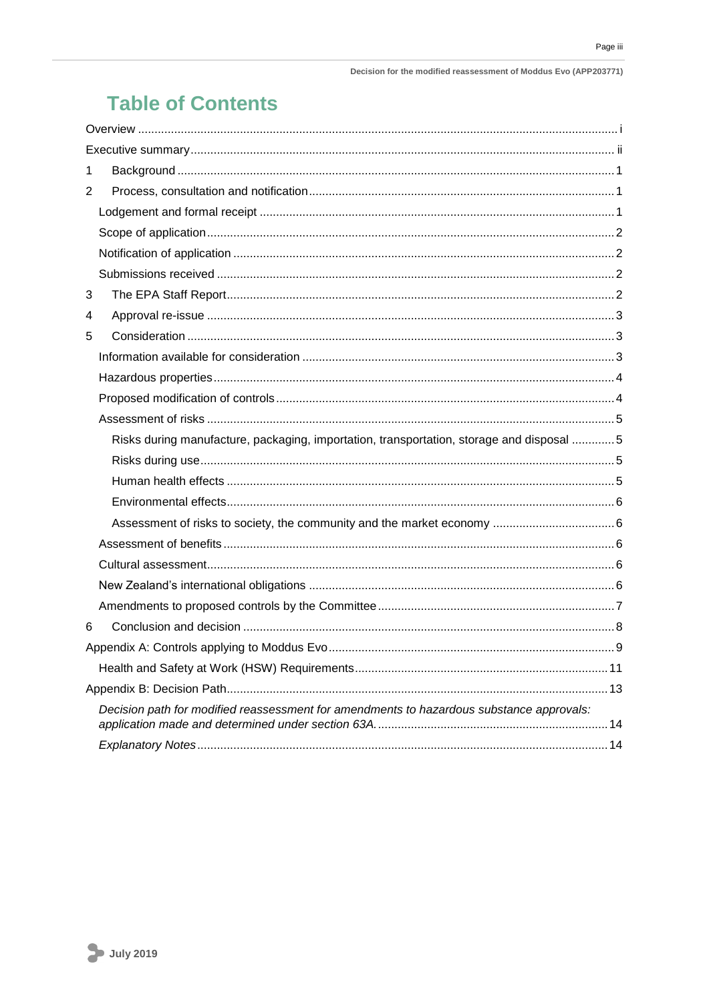# **Table of Contents**

| 1                                                                                        |  |
|------------------------------------------------------------------------------------------|--|
| 2                                                                                        |  |
|                                                                                          |  |
|                                                                                          |  |
|                                                                                          |  |
|                                                                                          |  |
| 3                                                                                        |  |
| 4                                                                                        |  |
| 5                                                                                        |  |
|                                                                                          |  |
|                                                                                          |  |
|                                                                                          |  |
|                                                                                          |  |
| Risks during manufacture, packaging, importation, transportation, storage and disposal 5 |  |
|                                                                                          |  |
|                                                                                          |  |
|                                                                                          |  |
|                                                                                          |  |
|                                                                                          |  |
|                                                                                          |  |
|                                                                                          |  |
|                                                                                          |  |
| 6                                                                                        |  |
|                                                                                          |  |
|                                                                                          |  |
|                                                                                          |  |
| Decision path for modified reassessment for amendments to hazardous substance approvals: |  |
|                                                                                          |  |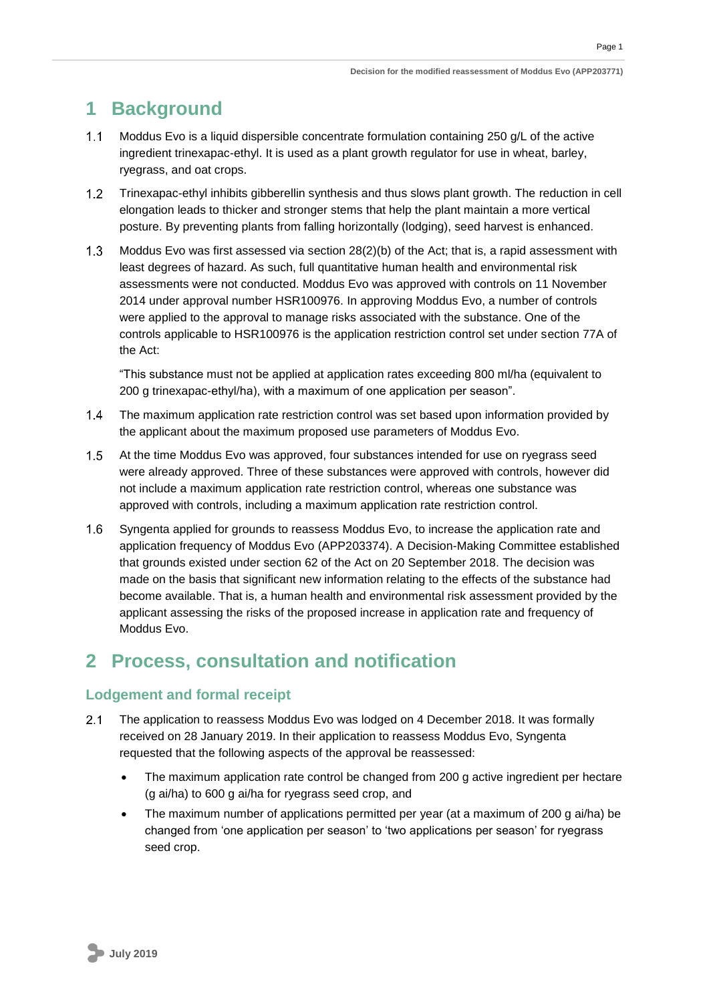Page 1

# <span id="page-3-0"></span>**1 Background**

- $1.1$ Moddus Evo is a liquid dispersible concentrate formulation containing 250 g/L of the active ingredient trinexapac-ethyl. It is used as a plant growth regulator for use in wheat, barley, ryegrass, and oat crops.
- $1.2$ Trinexapac-ethyl inhibits gibberellin synthesis and thus slows plant growth. The reduction in cell elongation leads to thicker and stronger stems that help the plant maintain a more vertical posture. By preventing plants from falling horizontally (lodging), seed harvest is enhanced.
- $1.3$ Moddus Evo was first assessed via section 28(2)(b) of the Act; that is, a rapid assessment with least degrees of hazard. As such, full quantitative human health and environmental risk assessments were not conducted. Moddus Evo was approved with controls on 11 November 2014 under approval number HSR100976. In approving Moddus Evo, a number of controls were applied to the approval to manage risks associated with the substance. One of the controls applicable to HSR100976 is the application restriction control set under section 77A of the Act:

"This substance must not be applied at application rates exceeding 800 ml/ha (equivalent to 200 g trinexapac-ethyl/ha), with a maximum of one application per season".

- $14$ The maximum application rate restriction control was set based upon information provided by the applicant about the maximum proposed use parameters of Moddus Evo.
- $1.5$ At the time Moddus Evo was approved, four substances intended for use on ryegrass seed were already approved. Three of these substances were approved with controls, however did not include a maximum application rate restriction control, whereas one substance was approved with controls, including a maximum application rate restriction control.
- $1.6$ Syngenta applied for grounds to reassess Moddus Evo, to increase the application rate and application frequency of Moddus Evo (APP203374). A Decision-Making Committee established that grounds existed under section 62 of the Act on 20 September 2018. The decision was made on the basis that significant new information relating to the effects of the substance had become available. That is, a human health and environmental risk assessment provided by the applicant assessing the risks of the proposed increase in application rate and frequency of Moddus Evo.

# <span id="page-3-1"></span>**2 Process, consultation and notification**

### <span id="page-3-2"></span>**Lodgement and formal receipt**

- The application to reassess Moddus Evo was lodged on 4 December 2018. It was formally  $2.1$ received on 28 January 2019. In their application to reassess Moddus Evo, Syngenta requested that the following aspects of the approval be reassessed:
	- The maximum application rate control be changed from 200 g active ingredient per hectare (g ai/ha) to 600 g ai/ha for ryegrass seed crop, and
	- The maximum number of applications permitted per year (at a maximum of 200 g ai/ha) be changed from 'one application per season' to 'two applications per season' for ryegrass seed crop.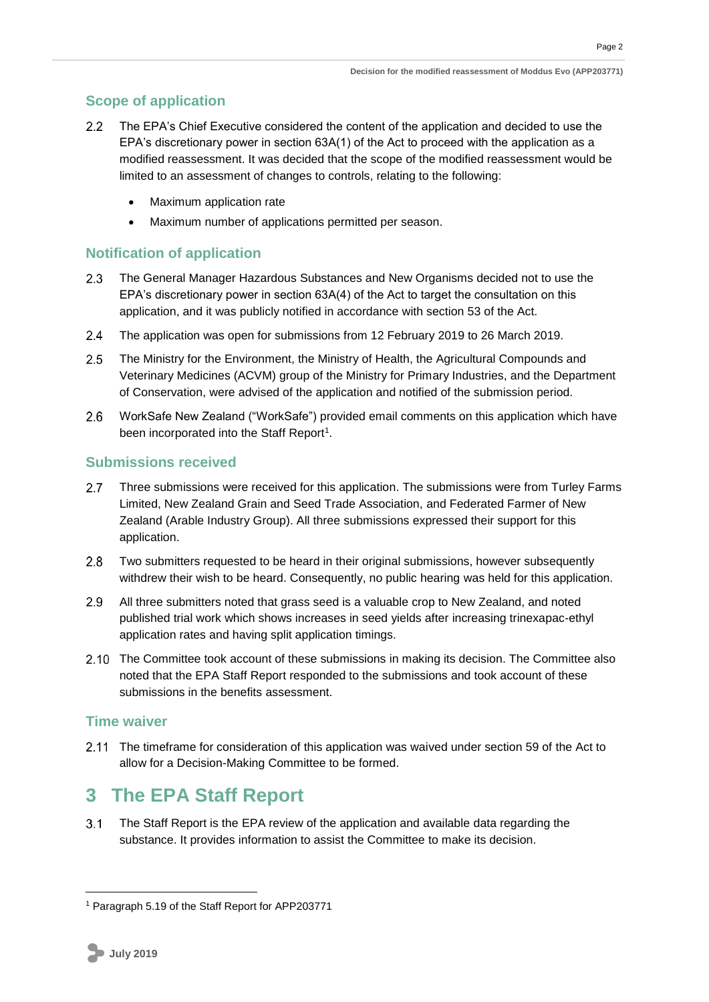Page 2

### <span id="page-4-0"></span>**Scope of application**

- The EPA's Chief Executive considered the content of the application and decided to use the  $2.2$ EPA's discretionary power in section 63A(1) of the Act to proceed with the application as a modified reassessment. It was decided that the scope of the modified reassessment would be limited to an assessment of changes to controls, relating to the following:
	- Maximum application rate
	- Maximum number of applications permitted per season.

### <span id="page-4-1"></span>**Notification of application**

- $2.3$ The General Manager Hazardous Substances and New Organisms decided not to use the EPA's discretionary power in section 63A(4) of the Act to target the consultation on this application, and it was publicly notified in accordance with section 53 of the Act.
- $2.4$ The application was open for submissions from 12 February 2019 to 26 March 2019.
- $2.5$ The Ministry for the Environment, the Ministry of Health, the Agricultural Compounds and Veterinary Medicines (ACVM) group of the Ministry for Primary Industries, and the Department of Conservation, were advised of the application and notified of the submission period.
- $2.6$ WorkSafe New Zealand ("WorkSafe") provided email comments on this application which have been incorporated into the Staff Report<sup>1</sup>.

### <span id="page-4-2"></span>**Submissions received**

- $2.7$ Three submissions were received for this application. The submissions were from Turley Farms Limited, New Zealand Grain and Seed Trade Association, and Federated Farmer of New Zealand (Arable Industry Group). All three submissions expressed their support for this application.
- Two submitters requested to be heard in their original submissions, however subsequently  $2.8$ withdrew their wish to be heard. Consequently, no public hearing was held for this application.
- $2.9$ All three submitters noted that grass seed is a valuable crop to New Zealand, and noted published trial work which shows increases in seed yields after increasing trinexapac-ethyl application rates and having split application timings.
- 2.10 The Committee took account of these submissions in making its decision. The Committee also noted that the EPA Staff Report responded to the submissions and took account of these submissions in the benefits assessment.

### **Time waiver**

2.11 The timeframe for consideration of this application was waived under section 59 of the Act to allow for a Decision-Making Committee to be formed.

# <span id="page-4-3"></span>**3 The EPA Staff Report**

 $3.1$ The Staff Report is the EPA review of the application and available data regarding the substance. It provides information to assist the Committee to make its decision.

1

<sup>1</sup> Paragraph 5.19 of the Staff Report for APP203771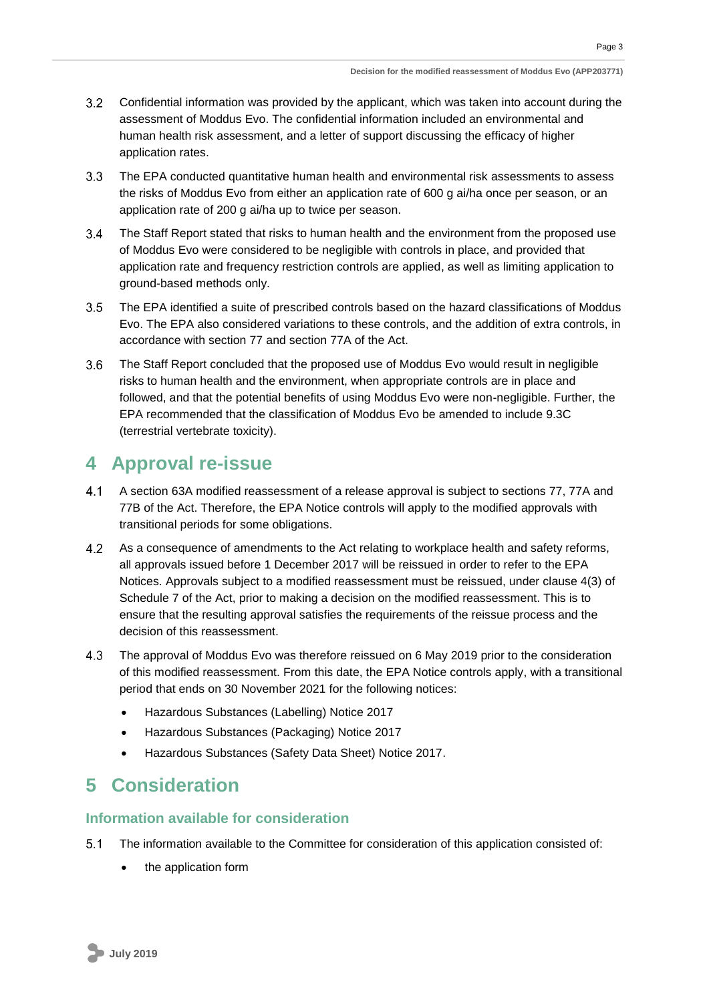- $3.2$ Confidential information was provided by the applicant, which was taken into account during the assessment of Moddus Evo. The confidential information included an environmental and human health risk assessment, and a letter of support discussing the efficacy of higher application rates.
- $3.3<sub>1</sub>$ The EPA conducted quantitative human health and environmental risk assessments to assess the risks of Moddus Evo from either an application rate of 600 g ai/ha once per season, or an application rate of 200 g ai/ha up to twice per season.
- $3.4$ The Staff Report stated that risks to human health and the environment from the proposed use of Moddus Evo were considered to be negligible with controls in place, and provided that application rate and frequency restriction controls are applied, as well as limiting application to ground-based methods only.
- $3.5$ The EPA identified a suite of prescribed controls based on the hazard classifications of Moddus Evo. The EPA also considered variations to these controls, and the addition of extra controls, in accordance with section 77 and section 77A of the Act.
- $3.6$ The Staff Report concluded that the proposed use of Moddus Evo would result in negligible risks to human health and the environment, when appropriate controls are in place and followed, and that the potential benefits of using Moddus Evo were non-negligible. Further, the EPA recommended that the classification of Moddus Evo be amended to include 9.3C (terrestrial vertebrate toxicity).

## <span id="page-5-0"></span>**4 Approval re-issue**

- $4.1$ A section 63A modified reassessment of a release approval is subject to sections 77, 77A and 77B of the Act. Therefore, the EPA Notice controls will apply to the modified approvals with transitional periods for some obligations.
- $4.2$ As a consequence of amendments to the Act relating to workplace health and safety reforms, all approvals issued before 1 December 2017 will be reissued in order to refer to the EPA Notices. Approvals subject to a modified reassessment must be reissued, under clause 4(3) of Schedule 7 of the Act, prior to making a decision on the modified reassessment. This is to ensure that the resulting approval satisfies the requirements of the reissue process and the decision of this reassessment.
- $4.3$ The approval of Moddus Evo was therefore reissued on 6 May 2019 prior to the consideration of this modified reassessment. From this date, the EPA Notice controls apply, with a transitional period that ends on 30 November 2021 for the following notices:
	- Hazardous Substances (Labelling) Notice 2017
	- Hazardous Substances (Packaging) Notice 2017
	- Hazardous Substances (Safety Data Sheet) Notice 2017.

## <span id="page-5-1"></span>**5 Consideration**

#### <span id="page-5-2"></span>**Information available for consideration**

- $5.1$ The information available to the Committee for consideration of this application consisted of:
	- the application form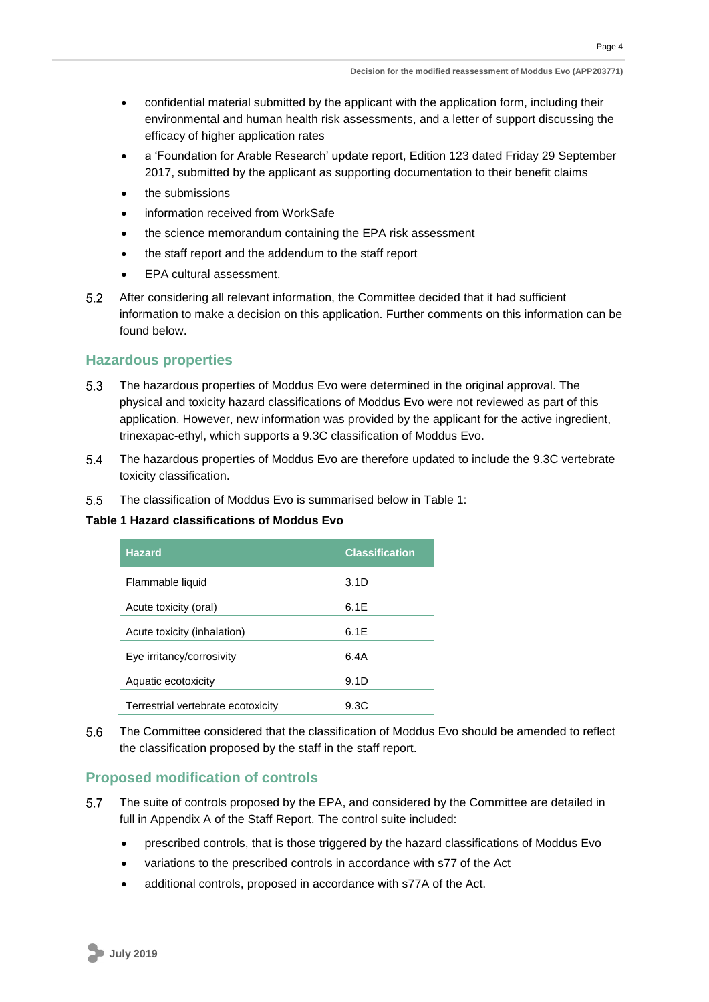- confidential material submitted by the applicant with the application form, including their environmental and human health risk assessments, and a letter of support discussing the efficacy of higher application rates
- a 'Foundation for Arable Research' update report, Edition 123 dated Friday 29 September 2017, submitted by the applicant as supporting documentation to their benefit claims
- the submissions
- information received from WorkSafe
- the science memorandum containing the EPA risk assessment
- the staff report and the addendum to the staff report
- EPA cultural assessment.
- $5.2$ After considering all relevant information, the Committee decided that it had sufficient information to make a decision on this application. Further comments on this information can be found below.

#### <span id="page-6-0"></span>**Hazardous properties**

- $5.3$ The hazardous properties of Moddus Evo were determined in the original approval. The physical and toxicity hazard classifications of Moddus Evo were not reviewed as part of this application. However, new information was provided by the applicant for the active ingredient, trinexapac-ethyl, which supports a 9.3C classification of Moddus Evo.
- $5.4$ The hazardous properties of Moddus Evo are therefore updated to include the 9.3C vertebrate toxicity classification.
- $5.5$ The classification of Moddus Evo is summarised below in Table 1:

#### **Table 1 Hazard classifications of Moddus Evo**

| <b>Hazard</b>                      | <b>Classification</b> |
|------------------------------------|-----------------------|
| Flammable liquid                   | 3.1D                  |
| Acute toxicity (oral)              | 6.1E                  |
| Acute toxicity (inhalation)        | 6.1F                  |
| Eye irritancy/corrosivity          | 6.4A                  |
| Aquatic ecotoxicity                | 9.1D                  |
| Terrestrial vertebrate ecotoxicity | 9.3C                  |

 $5.6$ The Committee considered that the classification of Moddus Evo should be amended to reflect the classification proposed by the staff in the staff report.

### <span id="page-6-1"></span>**Proposed modification of controls**

- $5.7$ The suite of controls proposed by the EPA, and considered by the Committee are detailed in full in Appendix A of the Staff Report. The control suite included:
	- prescribed controls, that is those triggered by the hazard classifications of Moddus Evo
	- variations to the prescribed controls in accordance with s77 of the Act
	- additional controls, proposed in accordance with s77A of the Act.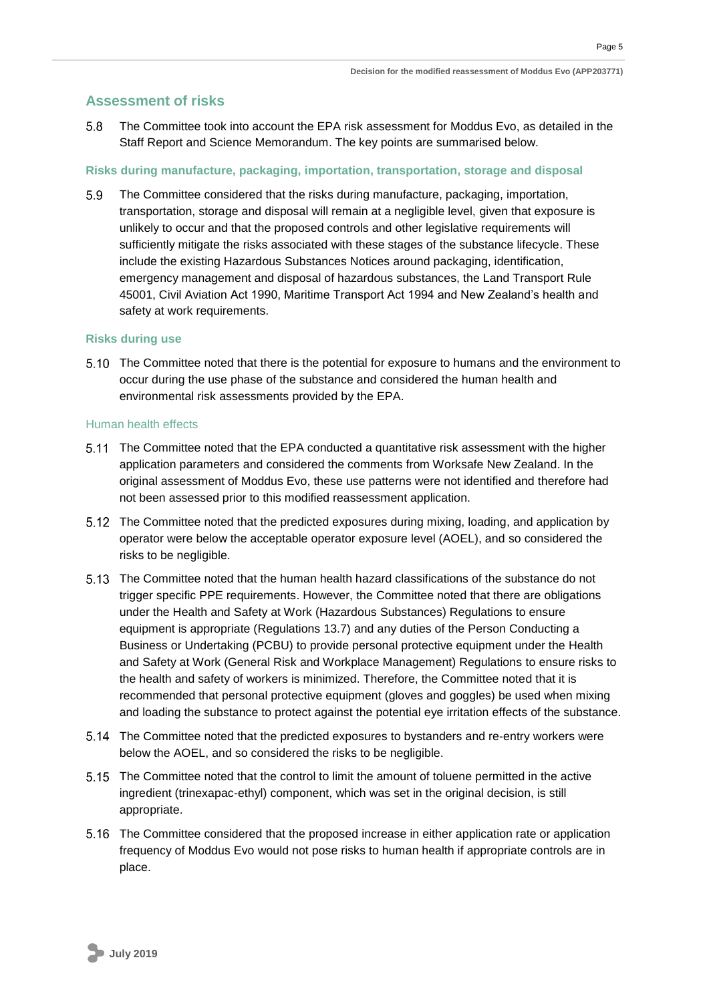#### <span id="page-7-0"></span>**Assessment of risks**

 $5.8$ The Committee took into account the EPA risk assessment for Moddus Evo, as detailed in the Staff Report and Science Memorandum. The key points are summarised below.

#### <span id="page-7-1"></span>**Risks during manufacture, packaging, importation, transportation, storage and disposal**

 $5.9$ The Committee considered that the risks during manufacture, packaging, importation, transportation, storage and disposal will remain at a negligible level, given that exposure is unlikely to occur and that the proposed controls and other legislative requirements will sufficiently mitigate the risks associated with these stages of the substance lifecycle. These include the existing Hazardous Substances Notices around packaging, identification, emergency management and disposal of hazardous substances, the Land Transport Rule 45001, Civil Aviation Act 1990, Maritime Transport Act 1994 and New Zealand's health and safety at work requirements.

#### <span id="page-7-2"></span>**Risks during use**

The Committee noted that there is the potential for exposure to humans and the environment to occur during the use phase of the substance and considered the human health and environmental risk assessments provided by the EPA.

#### <span id="page-7-3"></span>Human health effects

- 5.11 The Committee noted that the EPA conducted a quantitative risk assessment with the higher application parameters and considered the comments from Worksafe New Zealand. In the original assessment of Moddus Evo, these use patterns were not identified and therefore had not been assessed prior to this modified reassessment application.
- The Committee noted that the predicted exposures during mixing, loading, and application by operator were below the acceptable operator exposure level (AOEL), and so considered the risks to be negligible.
- The Committee noted that the human health hazard classifications of the substance do not trigger specific PPE requirements. However, the Committee noted that there are obligations under the Health and Safety at Work (Hazardous Substances) Regulations to ensure equipment is appropriate (Regulations 13.7) and any duties of the Person Conducting a Business or Undertaking (PCBU) to provide personal protective equipment under the Health and Safety at Work (General Risk and Workplace Management) Regulations to ensure risks to the health and safety of workers is minimized. Therefore, the Committee noted that it is recommended that personal protective equipment (gloves and goggles) be used when mixing and loading the substance to protect against the potential eye irritation effects of the substance.
- The Committee noted that the predicted exposures to bystanders and re-entry workers were below the AOEL, and so considered the risks to be negligible.
- The Committee noted that the control to limit the amount of toluene permitted in the active ingredient (trinexapac-ethyl) component, which was set in the original decision, is still appropriate.
- 5.16 The Committee considered that the proposed increase in either application rate or application frequency of Moddus Evo would not pose risks to human health if appropriate controls are in place.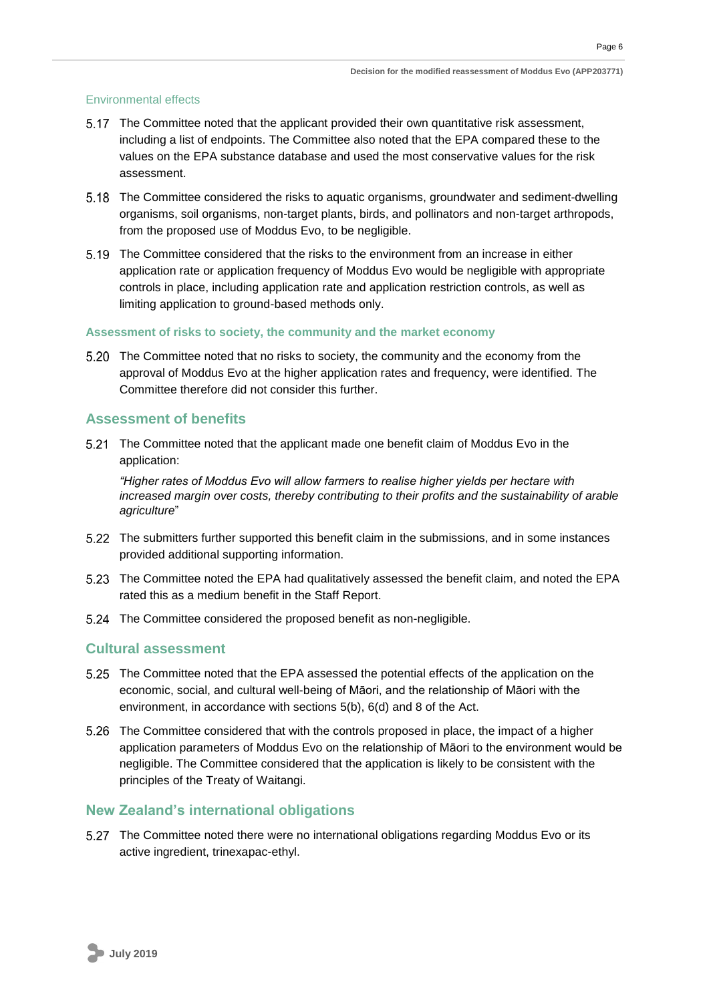Page 6

#### <span id="page-8-0"></span>Environmental effects

- 5.17 The Committee noted that the applicant provided their own quantitative risk assessment, including a list of endpoints. The Committee also noted that the EPA compared these to the values on the EPA substance database and used the most conservative values for the risk assessment.
- The Committee considered the risks to aquatic organisms, groundwater and sediment-dwelling organisms, soil organisms, non-target plants, birds, and pollinators and non-target arthropods, from the proposed use of Moddus Evo, to be negligible.
- The Committee considered that the risks to the environment from an increase in either application rate or application frequency of Moddus Evo would be negligible with appropriate controls in place, including application rate and application restriction controls, as well as limiting application to ground-based methods only.

#### <span id="page-8-1"></span>**Assessment of risks to society, the community and the market economy**

5.20 The Committee noted that no risks to society, the community and the economy from the approval of Moddus Evo at the higher application rates and frequency, were identified. The Committee therefore did not consider this further.

### <span id="page-8-2"></span>**Assessment of benefits**

The Committee noted that the applicant made one benefit claim of Moddus Evo in the application:

*"Higher rates of Moddus Evo will allow farmers to realise higher yields per hectare with increased margin over costs, thereby contributing to their profits and the sustainability of arable agriculture*"

- The submitters further supported this benefit claim in the submissions, and in some instances provided additional supporting information.
- The Committee noted the EPA had qualitatively assessed the benefit claim, and noted the EPA rated this as a medium benefit in the Staff Report.
- 5.24 The Committee considered the proposed benefit as non-negligible.

#### <span id="page-8-3"></span>**Cultural assessment**

- The Committee noted that the EPA assessed the potential effects of the application on the economic, social, and cultural well-being of Māori, and the relationship of Māori with the environment, in accordance with sections 5(b), 6(d) and 8 of the Act.
- The Committee considered that with the controls proposed in place, the impact of a higher application parameters of Moddus Evo on the relationship of Māori to the environment would be negligible. The Committee considered that the application is likely to be consistent with the principles of the Treaty of Waitangi.

#### <span id="page-8-4"></span>**New Zealand's international obligations**

The Committee noted there were no international obligations regarding Moddus Evo or its active ingredient, trinexapac-ethyl.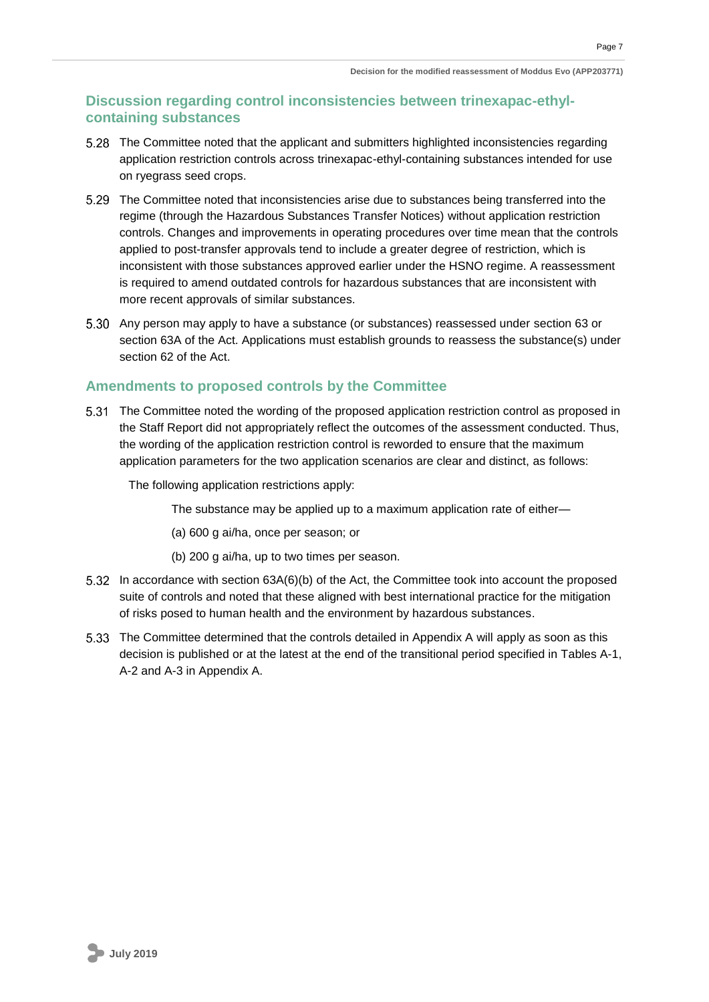### **Discussion regarding control inconsistencies between trinexapac-ethylcontaining substances**

- The Committee noted that the applicant and submitters highlighted inconsistencies regarding application restriction controls across trinexapac-ethyl-containing substances intended for use on ryegrass seed crops.
- The Committee noted that inconsistencies arise due to substances being transferred into the regime (through the Hazardous Substances Transfer Notices) without application restriction controls. Changes and improvements in operating procedures over time mean that the controls applied to post-transfer approvals tend to include a greater degree of restriction, which is inconsistent with those substances approved earlier under the HSNO regime. A reassessment is required to amend outdated controls for hazardous substances that are inconsistent with more recent approvals of similar substances.
- Any person may apply to have a substance (or substances) reassessed under section 63 or section 63A of the Act. Applications must establish grounds to reassess the substance(s) under section 62 of the Act.

### <span id="page-9-0"></span>**Amendments to proposed controls by the Committee**

The Committee noted the wording of the proposed application restriction control as proposed in the Staff Report did not appropriately reflect the outcomes of the assessment conducted. Thus, the wording of the application restriction control is reworded to ensure that the maximum application parameters for the two application scenarios are clear and distinct, as follows:

The following application restrictions apply:

The substance may be applied up to a maximum application rate of either—

(a) 600 g ai/ha, once per season; or

- (b) 200 g ai/ha, up to two times per season.
- In accordance with section 63A(6)(b) of the Act, the Committee took into account the proposed suite of controls and noted that these aligned with best international practice for the mitigation of risks posed to human health and the environment by hazardous substances.
- The Committee determined that the controls detailed in Appendix A will apply as soon as this decision is published or at the latest at the end of the transitional period specified in Tables A-1, A-2 and A-3 in Appendix A.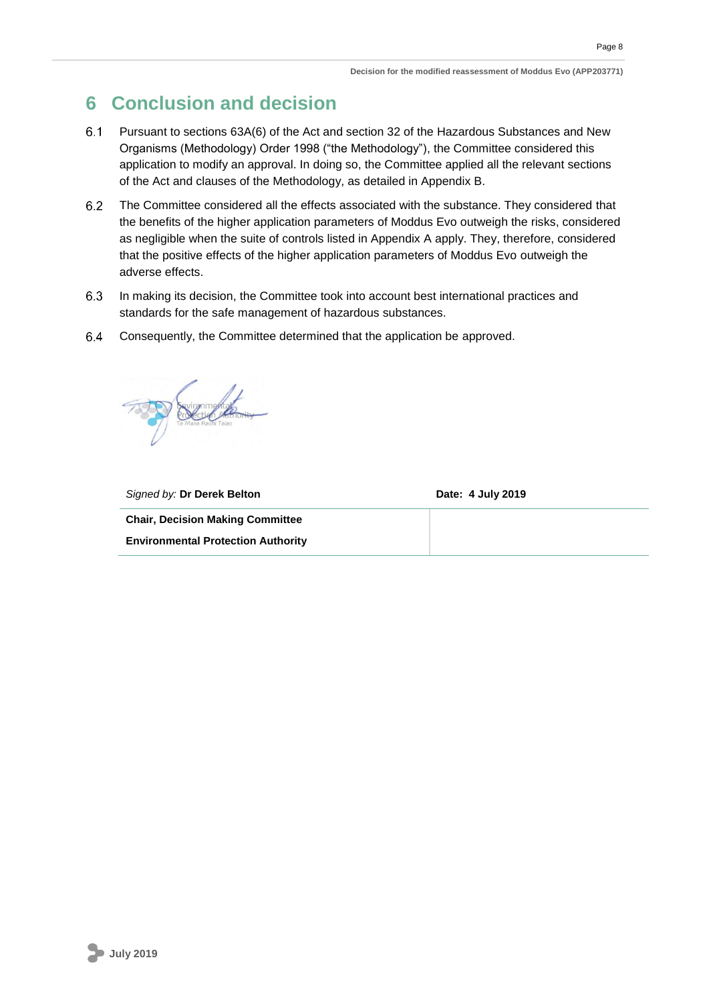# <span id="page-10-0"></span>**6 Conclusion and decision**

- Pursuant to sections 63A(6) of the Act and section 32 of the Hazardous Substances and New 6.1 Organisms (Methodology) Order 1998 ("the Methodology"), the Committee considered this application to modify an approval. In doing so, the Committee applied all the relevant sections of the Act and clauses of the Methodology, as detailed in Appendix B.
- $6.2$ The Committee considered all the effects associated with the substance. They considered that the benefits of the higher application parameters of Moddus Evo outweigh the risks, considered as negligible when the suite of controls listed in Appendix A apply. They, therefore, considered that the positive effects of the higher application parameters of Moddus Evo outweigh the adverse effects.
- 6.3 In making its decision, the Committee took into account best international practices and standards for the safe management of hazardous substances.
- 6.4 Consequently, the Committee determined that the application be approved.



| Signed by: Dr Derek Belton                | Date: 4 July 2019 |
|-------------------------------------------|-------------------|
| <b>Chair, Decision Making Committee</b>   |                   |
| <b>Environmental Protection Authority</b> |                   |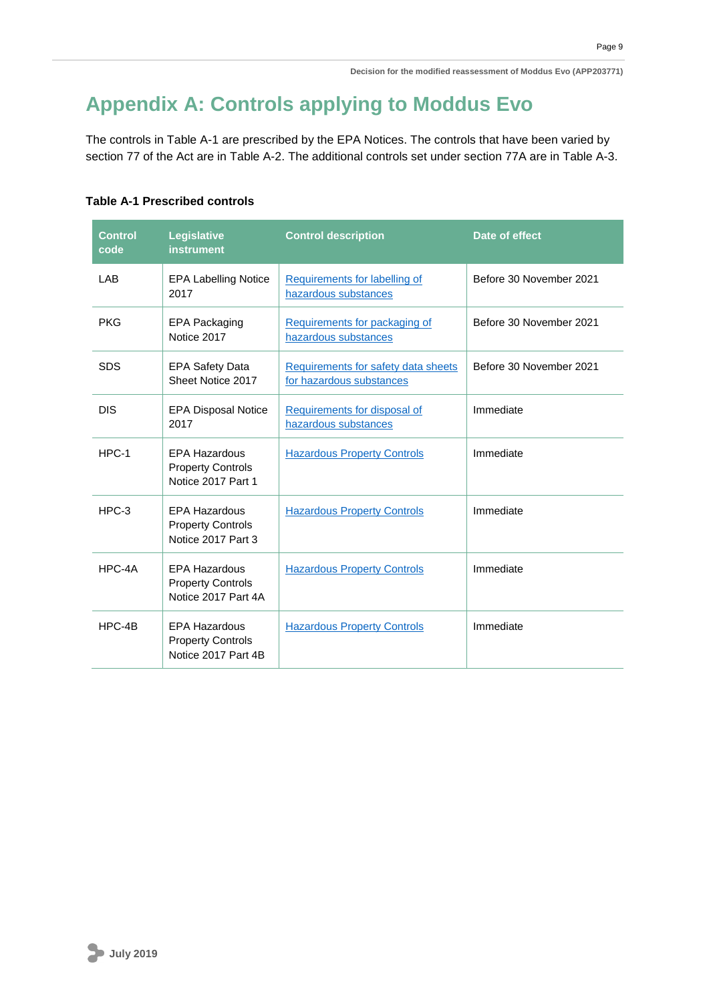# <span id="page-11-0"></span>**Appendix A: Controls applying to Moddus Evo**

The controls in Table A-1 are prescribed by the EPA Notices. The controls that have been varied by section 77 of the Act are in Table A-2. The additional controls set under section 77A are in Table A-3.

#### **Table A-1 Prescribed controls**

| <b>Control</b><br>code | <b>Legislative</b><br>instrument                                        | <b>Control description</b>                                      | Date of effect          |
|------------------------|-------------------------------------------------------------------------|-----------------------------------------------------------------|-------------------------|
| <b>LAB</b>             | <b>EPA Labelling Notice</b><br>2017                                     | Requirements for labelling of<br>hazardous substances           | Before 30 November 2021 |
| <b>PKG</b>             | <b>EPA Packaging</b><br>Notice 2017                                     | Requirements for packaging of<br>hazardous substances           | Before 30 November 2021 |
| <b>SDS</b>             | <b>EPA Safety Data</b><br>Sheet Notice 2017                             | Requirements for safety data sheets<br>for hazardous substances | Before 30 November 2021 |
| <b>DIS</b>             | <b>EPA Disposal Notice</b><br>2017                                      | Requirements for disposal of<br>hazardous substances            | Immediate               |
| $HPC-1$                | <b>EPA Hazardous</b><br><b>Property Controls</b><br>Notice 2017 Part 1  | <b>Hazardous Property Controls</b>                              | Immediate               |
| $HPC-3$                | <b>EPA Hazardous</b><br><b>Property Controls</b><br>Notice 2017 Part 3  | <b>Hazardous Property Controls</b>                              | Immediate               |
| HPC-4A                 | <b>EPA Hazardous</b><br><b>Property Controls</b><br>Notice 2017 Part 4A | <b>Hazardous Property Controls</b>                              | Immediate               |
| $HPC-4B$               | <b>EPA Hazardous</b><br><b>Property Controls</b><br>Notice 2017 Part 4B | <b>Hazardous Property Controls</b>                              | Immediate               |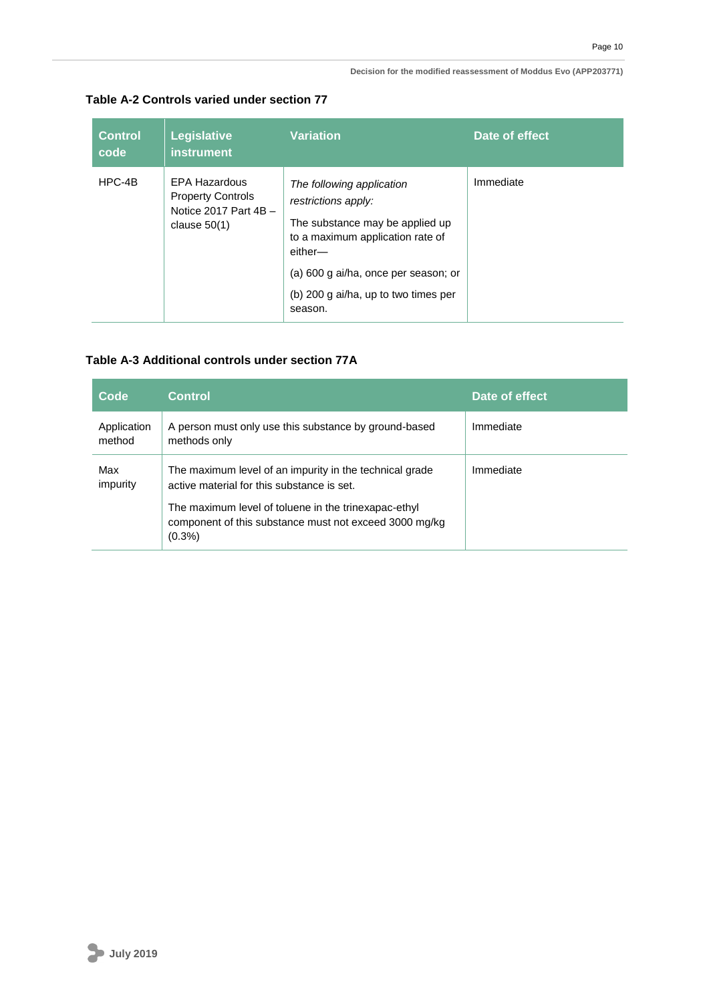#### **Decision for the modified reassessment of Moddus Evo (APP203771)**

| Table A-2 Controls varied under section 77 |  |
|--------------------------------------------|--|
|                                            |  |

| <b>Control</b><br>code | Legislative<br>instrument                                                                     | <b>Variation</b>                                                                                                                                                                                                              | Date of effect |
|------------------------|-----------------------------------------------------------------------------------------------|-------------------------------------------------------------------------------------------------------------------------------------------------------------------------------------------------------------------------------|----------------|
| HPC-4B                 | <b>EPA Hazardous</b><br><b>Property Controls</b><br>Notice 2017 Part $4B -$<br>clause $50(1)$ | The following application<br>restrictions apply:<br>The substance may be applied up<br>to a maximum application rate of<br>either-<br>(a) 600 g ai/ha, once per season; or<br>(b) 200 g ai/ha, up to two times per<br>season. | Immediate      |

### **Table A-3 Additional controls under section 77A**

| Code                  | <b>Control</b>                                                                                                                                                                                                                       | Date of effect |
|-----------------------|--------------------------------------------------------------------------------------------------------------------------------------------------------------------------------------------------------------------------------------|----------------|
| Application<br>method | A person must only use this substance by ground-based<br>methods only                                                                                                                                                                | Immediate      |
| Max<br>impurity       | The maximum level of an impurity in the technical grade<br>active material for this substance is set.<br>The maximum level of toluene in the trinexapac-ethyl<br>component of this substance must not exceed 3000 mg/kg<br>$(0.3\%)$ | Immediate      |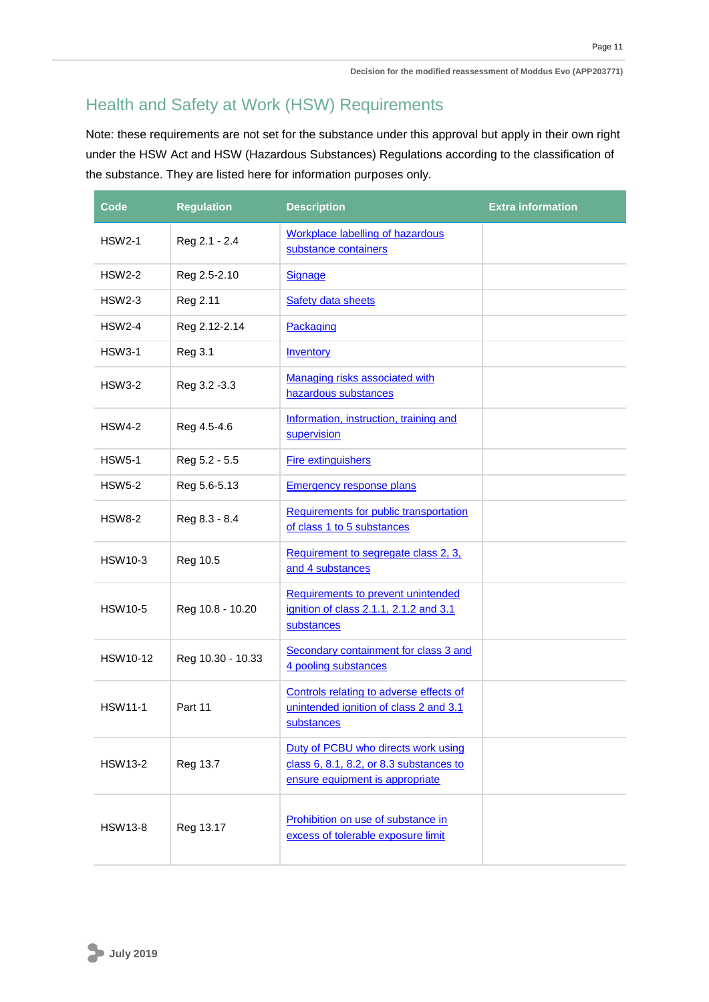# <span id="page-13-0"></span>Health and Safety at Work (HSW) Requirements

Note: these requirements are not set for the substance under this approval but apply in their own right under the HSW Act and HSW (Hazardous Substances) Regulations according to the classification of the substance. They are listed here for information purposes only.

| Code            | <b>Regulation</b> | <b>Description</b>                                                                                                | <b>Extra information</b> |
|-----------------|-------------------|-------------------------------------------------------------------------------------------------------------------|--------------------------|
| <b>HSW2-1</b>   | Reg 2.1 - 2.4     | <b>Workplace labelling of hazardous</b><br>substance containers                                                   |                          |
| <b>HSW2-2</b>   | Reg 2.5-2.10      | <b>Signage</b>                                                                                                    |                          |
| HSW2-3          | Reg 2.11          | <b>Safety data sheets</b>                                                                                         |                          |
| <b>HSW2-4</b>   | Reg 2.12-2.14     | Packaging                                                                                                         |                          |
| <b>HSW3-1</b>   | Reg 3.1           | <b>Inventory</b>                                                                                                  |                          |
| <b>HSW3-2</b>   | Reg 3.2 - 3.3     | Managing risks associated with<br>hazardous substances                                                            |                          |
| <b>HSW4-2</b>   | Reg 4.5-4.6       | Information, instruction, training and<br>supervision                                                             |                          |
| <b>HSW5-1</b>   | Reg 5.2 - 5.5     | <b>Fire extinguishers</b>                                                                                         |                          |
| <b>HSW5-2</b>   | Reg 5.6-5.13      | <b>Emergency response plans</b>                                                                                   |                          |
| <b>HSW8-2</b>   | Reg 8.3 - 8.4     | Requirements for public transportation<br>of class 1 to 5 substances                                              |                          |
| <b>HSW10-3</b>  | Reg 10.5          | Requirement to segregate class 2, 3,<br>and 4 substances                                                          |                          |
| <b>HSW10-5</b>  | Reg 10.8 - 10.20  | Requirements to prevent unintended<br>ignition of class 2.1.1, 2.1.2 and 3.1<br>substances                        |                          |
| <b>HSW10-12</b> | Reg 10.30 - 10.33 | Secondary containment for class 3 and<br>4 pooling substances                                                     |                          |
| <b>HSW11-1</b>  | Part 11           | Controls relating to adverse effects of<br>unintended ignition of class 2 and 3.1<br>substances                   |                          |
| <b>HSW13-2</b>  | Reg 13.7          | Duty of PCBU who directs work using<br>class 6, 8.1, 8.2, or 8.3 substances to<br>ensure equipment is appropriate |                          |
| <b>HSW13-8</b>  | Reg 13.17         | Prohibition on use of substance in<br>excess of tolerable exposure limit                                          |                          |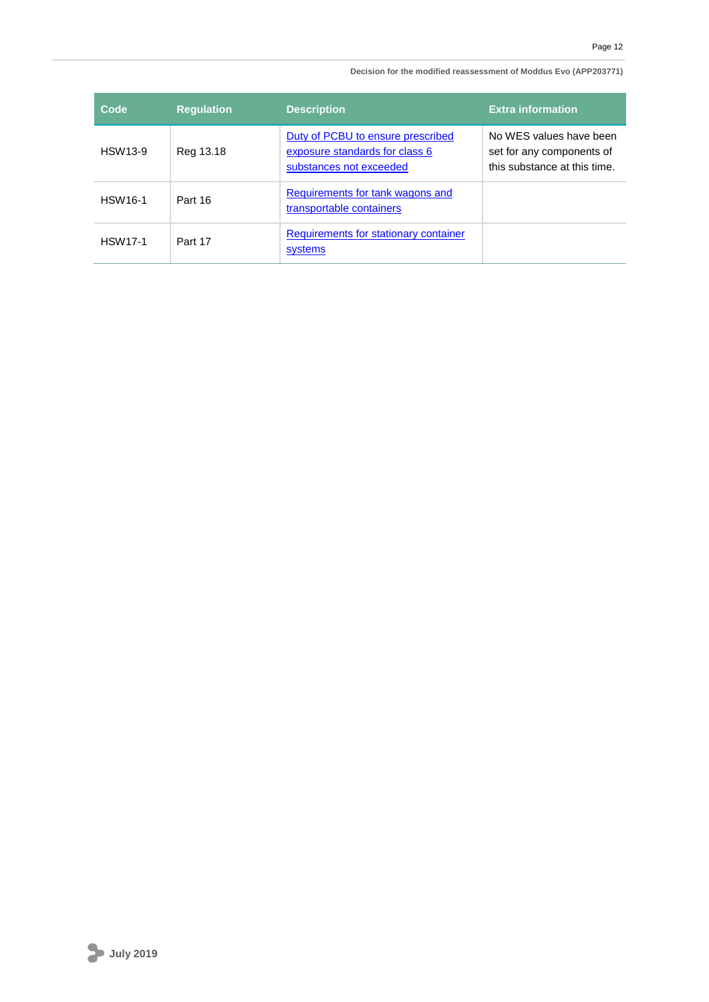#### **Decision for the modified reassessment of Moddus Evo (APP203771)**

| Code           | <b>Regulation</b> | <b>Description</b>                                                                             | <b>Extra information</b>                                                             |
|----------------|-------------------|------------------------------------------------------------------------------------------------|--------------------------------------------------------------------------------------|
| <b>HSW13-9</b> | Reg 13.18         | Duty of PCBU to ensure prescribed<br>exposure standards for class 6<br>substances not exceeded | No WES values have been<br>set for any components of<br>this substance at this time. |
| <b>HSW16-1</b> | Part 16           | Requirements for tank wagons and<br>transportable containers                                   |                                                                                      |
| <b>HSW17-1</b> | Part 17           | <b>Requirements for stationary container</b><br>systems                                        |                                                                                      |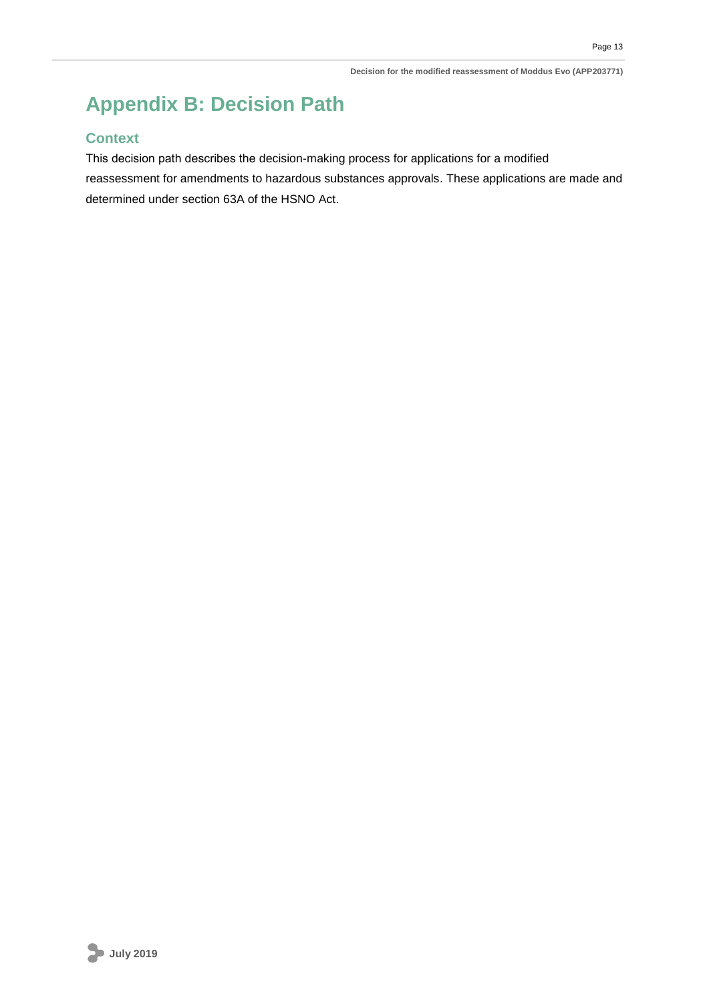# <span id="page-15-0"></span>**Appendix B: Decision Path**

### **Context**

This decision path describes the decision-making process for applications for a modified reassessment for amendments to hazardous substances approvals. These applications are made and determined under section 63A of the HSNO Act.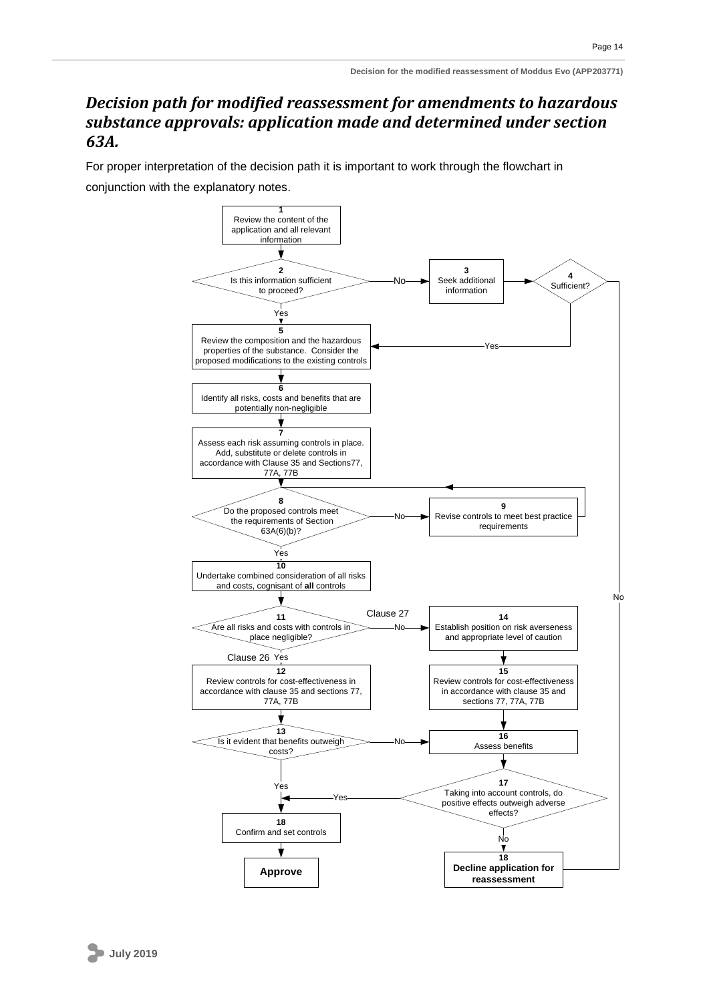### <span id="page-16-0"></span>*Decision path for modified reassessment for amendments to hazardous substance approvals: application made and determined under section 63A.*

<span id="page-16-1"></span>For proper interpretation of the decision path it is important to work through the flowchart in conjunction with the explanatory notes.

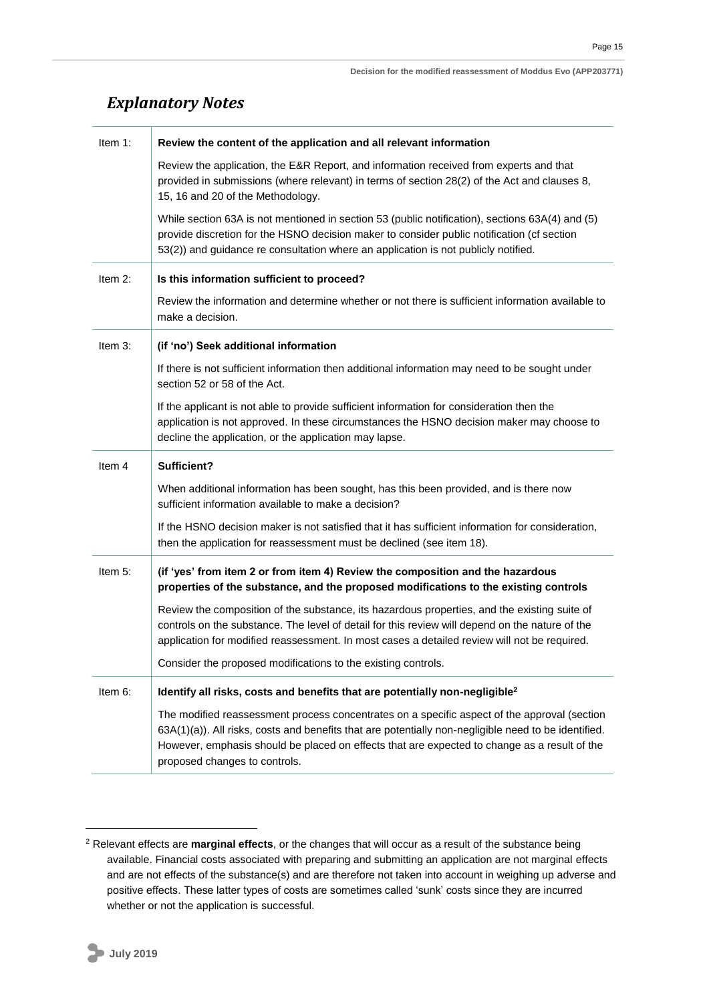# *Explanatory Notes*

| Item 1:    | Review the content of the application and all relevant information                                                                                                                                                                                                                              |
|------------|-------------------------------------------------------------------------------------------------------------------------------------------------------------------------------------------------------------------------------------------------------------------------------------------------|
|            | Review the application, the E&R Report, and information received from experts and that<br>provided in submissions (where relevant) in terms of section 28(2) of the Act and clauses 8,<br>15, 16 and 20 of the Methodology.                                                                     |
|            | While section 63A is not mentioned in section 53 (public notification), sections 63A(4) and (5)<br>provide discretion for the HSNO decision maker to consider public notification (cf section<br>53(2)) and guidance re consultation where an application is not publicly notified.             |
| Item $2$ : | Is this information sufficient to proceed?                                                                                                                                                                                                                                                      |
|            | Review the information and determine whether or not there is sufficient information available to<br>make a decision.                                                                                                                                                                            |
| Item 3:    | (if 'no') Seek additional information                                                                                                                                                                                                                                                           |
|            | If there is not sufficient information then additional information may need to be sought under<br>section 52 or 58 of the Act.                                                                                                                                                                  |
|            | If the applicant is not able to provide sufficient information for consideration then the<br>application is not approved. In these circumstances the HSNO decision maker may choose to<br>decline the application, or the application may lapse.                                                |
|            |                                                                                                                                                                                                                                                                                                 |
| Item 4     | Sufficient?                                                                                                                                                                                                                                                                                     |
|            | When additional information has been sought, has this been provided, and is there now<br>sufficient information available to make a decision?                                                                                                                                                   |
|            | If the HSNO decision maker is not satisfied that it has sufficient information for consideration,<br>then the application for reassessment must be declined (see item 18).                                                                                                                      |
| Item 5:    | (if 'yes' from item 2 or from item 4) Review the composition and the hazardous<br>properties of the substance, and the proposed modifications to the existing controls                                                                                                                          |
|            | Review the composition of the substance, its hazardous properties, and the existing suite of<br>controls on the substance. The level of detail for this review will depend on the nature of the<br>application for modified reassessment. In most cases a detailed review will not be required. |
|            | Consider the proposed modifications to the existing controls.                                                                                                                                                                                                                                   |
| Item 6:    | Identify all risks, costs and benefits that are potentially non-negligible <sup>2</sup>                                                                                                                                                                                                         |

<sup>2</sup> Relevant effects are **marginal effects**, or the changes that will occur as a result of the substance being available. Financial costs associated with preparing and submitting an application are not marginal effects and are not effects of the substance(s) and are therefore not taken into account in weighing up adverse and positive effects. These latter types of costs are sometimes called 'sunk' costs since they are incurred whether or not the application is successful.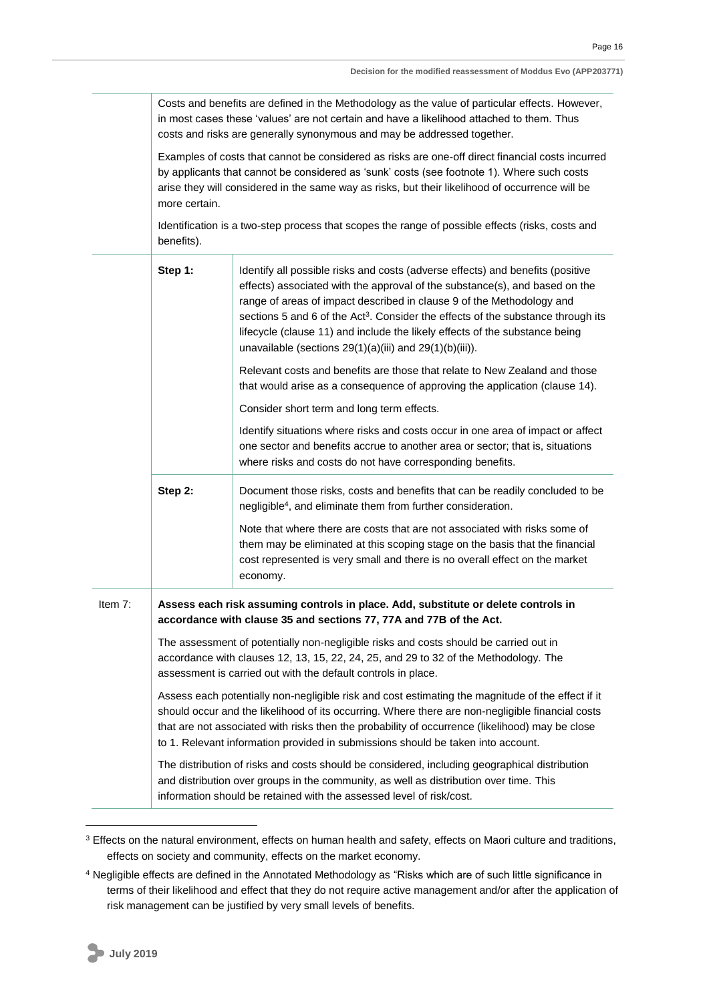Costs and benefits are defined in the Methodology as the value of particular effects. However, in most cases these 'values' are not certain and have a likelihood attached to them. Thus costs and risks are generally synonymous and may be addressed together.

Examples of costs that cannot be considered as risks are one-off direct financial costs incurred by applicants that cannot be considered as 'sunk' costs (see footnote 1). Where such costs arise they will considered in the same way as risks, but their likelihood of occurrence will be more certain.

Identification is a two-step process that scopes the range of possible effects (risks, costs and benefits).

|         | Step 1:                                                                                                                                                                                                                                                                                                                                                                                      | Identify all possible risks and costs (adverse effects) and benefits (positive<br>effects) associated with the approval of the substance(s), and based on the<br>range of areas of impact described in clause 9 of the Methodology and<br>sections 5 and 6 of the Act <sup>3</sup> . Consider the effects of the substance through its<br>lifecycle (clause 11) and include the likely effects of the substance being<br>unavailable (sections $29(1)(a)(iii)$ and $29(1)(b)(iii)$ ). |  |
|---------|----------------------------------------------------------------------------------------------------------------------------------------------------------------------------------------------------------------------------------------------------------------------------------------------------------------------------------------------------------------------------------------------|---------------------------------------------------------------------------------------------------------------------------------------------------------------------------------------------------------------------------------------------------------------------------------------------------------------------------------------------------------------------------------------------------------------------------------------------------------------------------------------|--|
|         |                                                                                                                                                                                                                                                                                                                                                                                              | Relevant costs and benefits are those that relate to New Zealand and those<br>that would arise as a consequence of approving the application (clause 14).                                                                                                                                                                                                                                                                                                                             |  |
|         |                                                                                                                                                                                                                                                                                                                                                                                              | Consider short term and long term effects.                                                                                                                                                                                                                                                                                                                                                                                                                                            |  |
|         |                                                                                                                                                                                                                                                                                                                                                                                              | Identify situations where risks and costs occur in one area of impact or affect<br>one sector and benefits accrue to another area or sector; that is, situations<br>where risks and costs do not have corresponding benefits.                                                                                                                                                                                                                                                         |  |
|         | Step 2:                                                                                                                                                                                                                                                                                                                                                                                      | Document those risks, costs and benefits that can be readily concluded to be<br>negligible <sup>4</sup> , and eliminate them from further consideration.                                                                                                                                                                                                                                                                                                                              |  |
|         |                                                                                                                                                                                                                                                                                                                                                                                              | Note that where there are costs that are not associated with risks some of<br>them may be eliminated at this scoping stage on the basis that the financial<br>cost represented is very small and there is no overall effect on the market<br>economy.                                                                                                                                                                                                                                 |  |
| Item 7: | Assess each risk assuming controls in place. Add, substitute or delete controls in<br>accordance with clause 35 and sections 77, 77A and 77B of the Act.                                                                                                                                                                                                                                     |                                                                                                                                                                                                                                                                                                                                                                                                                                                                                       |  |
|         | The assessment of potentially non-negligible risks and costs should be carried out in<br>accordance with clauses 12, 13, 15, 22, 24, 25, and 29 to 32 of the Methodology. The<br>assessment is carried out with the default controls in place.                                                                                                                                               |                                                                                                                                                                                                                                                                                                                                                                                                                                                                                       |  |
|         | Assess each potentially non-negligible risk and cost estimating the magnitude of the effect if it<br>should occur and the likelihood of its occurring. Where there are non-negligible financial costs<br>that are not associated with risks then the probability of occurrence (likelihood) may be close<br>to 1. Relevant information provided in submissions should be taken into account. |                                                                                                                                                                                                                                                                                                                                                                                                                                                                                       |  |
|         |                                                                                                                                                                                                                                                                                                                                                                                              | The distribution of risks and costs should be considered, including geographical distribution<br>and distribution over groups in the community, as well as distribution over time. This<br>information should be retained with the assessed level of risk/cost.                                                                                                                                                                                                                       |  |

<sup>&</sup>lt;sup>3</sup> Effects on the natural environment, effects on human health and safety, effects on Maori culture and traditions, effects on society and community, effects on the market economy.

<sup>4</sup> Negligible effects are defined in the Annotated Methodology as "Risks which are of such little significance in terms of their likelihood and effect that they do not require active management and/or after the application of risk management can be justified by very small levels of benefits.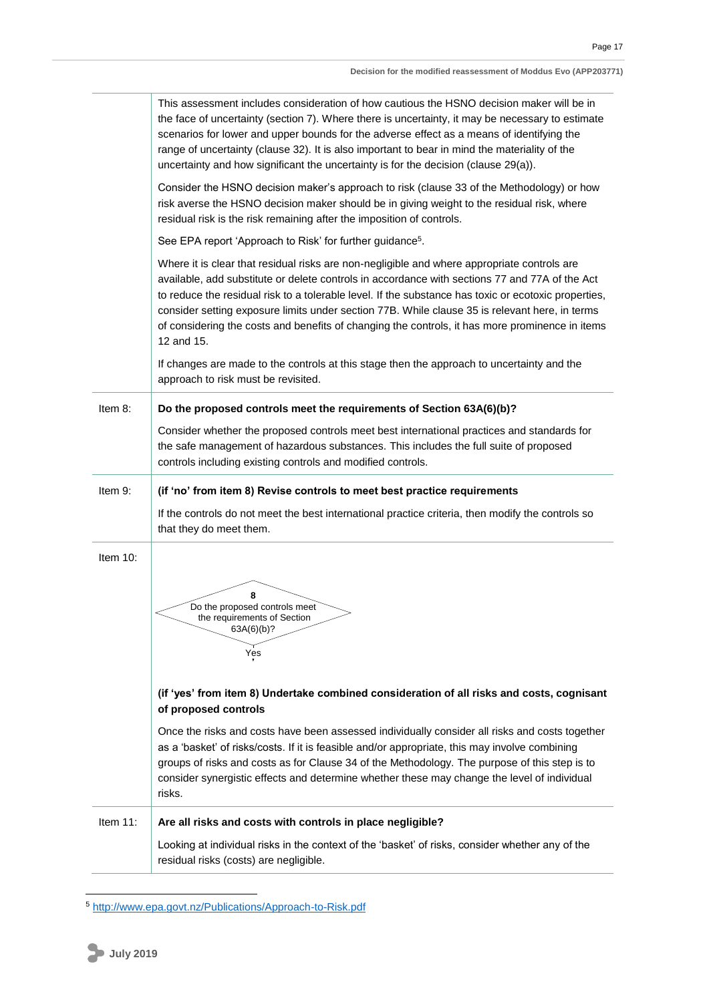|          | This assessment includes consideration of how cautious the HSNO decision maker will be in<br>the face of uncertainty (section 7). Where there is uncertainty, it may be necessary to estimate<br>scenarios for lower and upper bounds for the adverse effect as a means of identifying the<br>range of uncertainty (clause 32). It is also important to bear in mind the materiality of the<br>uncertainty and how significant the uncertainty is for the decision (clause 29(a)).                                                                                                                                        |  |  |
|----------|---------------------------------------------------------------------------------------------------------------------------------------------------------------------------------------------------------------------------------------------------------------------------------------------------------------------------------------------------------------------------------------------------------------------------------------------------------------------------------------------------------------------------------------------------------------------------------------------------------------------------|--|--|
|          | Consider the HSNO decision maker's approach to risk (clause 33 of the Methodology) or how<br>risk averse the HSNO decision maker should be in giving weight to the residual risk, where<br>residual risk is the risk remaining after the imposition of controls.                                                                                                                                                                                                                                                                                                                                                          |  |  |
|          | See EPA report 'Approach to Risk' for further guidance <sup>5</sup> .                                                                                                                                                                                                                                                                                                                                                                                                                                                                                                                                                     |  |  |
|          | Where it is clear that residual risks are non-negligible and where appropriate controls are<br>available, add substitute or delete controls in accordance with sections 77 and 77A of the Act<br>to reduce the residual risk to a tolerable level. If the substance has toxic or ecotoxic properties,<br>consider setting exposure limits under section 77B. While clause 35 is relevant here, in terms<br>of considering the costs and benefits of changing the controls, it has more prominence in items<br>12 and 15.                                                                                                  |  |  |
|          | If changes are made to the controls at this stage then the approach to uncertainty and the<br>approach to risk must be revisited.                                                                                                                                                                                                                                                                                                                                                                                                                                                                                         |  |  |
| Item 8:  | Do the proposed controls meet the requirements of Section 63A(6)(b)?                                                                                                                                                                                                                                                                                                                                                                                                                                                                                                                                                      |  |  |
|          | Consider whether the proposed controls meet best international practices and standards for<br>the safe management of hazardous substances. This includes the full suite of proposed<br>controls including existing controls and modified controls.                                                                                                                                                                                                                                                                                                                                                                        |  |  |
| Item 9:  | (if 'no' from item 8) Revise controls to meet best practice requirements                                                                                                                                                                                                                                                                                                                                                                                                                                                                                                                                                  |  |  |
|          | If the controls do not meet the best international practice criteria, then modify the controls so<br>that they do meet them.                                                                                                                                                                                                                                                                                                                                                                                                                                                                                              |  |  |
| Item 10: | 8<br>Do the proposed controls meet<br>the requirements of Section<br>63A(6)(b)?<br>Yes<br>(if 'yes' from item 8) Undertake combined consideration of all risks and costs, cognisant<br>of proposed controls<br>Once the risks and costs have been assessed individually consider all risks and costs together<br>as a 'basket' of risks/costs. If it is feasible and/or appropriate, this may involve combining<br>groups of risks and costs as for Clause 34 of the Methodology. The purpose of this step is to<br>consider synergistic effects and determine whether these may change the level of individual<br>risks. |  |  |
| Item 11: | Are all risks and costs with controls in place negligible?                                                                                                                                                                                                                                                                                                                                                                                                                                                                                                                                                                |  |  |
|          | Looking at individual risks in the context of the 'basket' of risks, consider whether any of the<br>residual risks (costs) are negligible.                                                                                                                                                                                                                                                                                                                                                                                                                                                                                |  |  |

<sup>5</sup> <http://www.epa.govt.nz/Publications/Approach-to-Risk.pdf>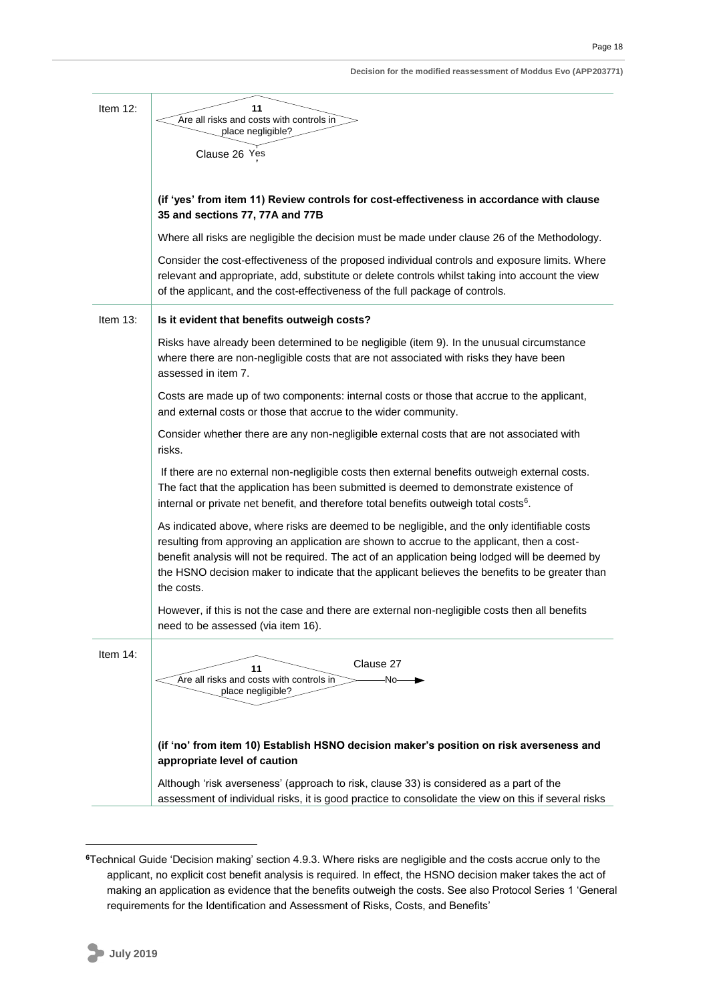| Decision for the modified reassessment of Moddus Evo (APP203771) |  |
|------------------------------------------------------------------|--|
|------------------------------------------------------------------|--|

| Item $12$ : | 11<br>Are all risks and costs with controls in<br>place negligible?                                                                                                                                                                                                                                                                                                                                            |  |  |  |
|-------------|----------------------------------------------------------------------------------------------------------------------------------------------------------------------------------------------------------------------------------------------------------------------------------------------------------------------------------------------------------------------------------------------------------------|--|--|--|
|             | Clause 26 Yes                                                                                                                                                                                                                                                                                                                                                                                                  |  |  |  |
|             |                                                                                                                                                                                                                                                                                                                                                                                                                |  |  |  |
|             | (if 'yes' from item 11) Review controls for cost-effectiveness in accordance with clause<br>35 and sections 77, 77A and 77B                                                                                                                                                                                                                                                                                    |  |  |  |
|             | Where all risks are negligible the decision must be made under clause 26 of the Methodology.                                                                                                                                                                                                                                                                                                                   |  |  |  |
|             | Consider the cost-effectiveness of the proposed individual controls and exposure limits. Where<br>relevant and appropriate, add, substitute or delete controls whilst taking into account the view<br>of the applicant, and the cost-effectiveness of the full package of controls.                                                                                                                            |  |  |  |
| Item $13$ : | Is it evident that benefits outweigh costs?                                                                                                                                                                                                                                                                                                                                                                    |  |  |  |
|             | Risks have already been determined to be negligible (item 9). In the unusual circumstance<br>where there are non-negligible costs that are not associated with risks they have been<br>assessed in item 7.                                                                                                                                                                                                     |  |  |  |
|             | Costs are made up of two components: internal costs or those that accrue to the applicant,<br>and external costs or those that accrue to the wider community.                                                                                                                                                                                                                                                  |  |  |  |
|             | Consider whether there are any non-negligible external costs that are not associated with<br>risks.                                                                                                                                                                                                                                                                                                            |  |  |  |
|             | If there are no external non-negligible costs then external benefits outweigh external costs.<br>The fact that the application has been submitted is deemed to demonstrate existence of<br>internal or private net benefit, and therefore total benefits outweigh total costs <sup>6</sup> .                                                                                                                   |  |  |  |
|             | As indicated above, where risks are deemed to be negligible, and the only identifiable costs<br>resulting from approving an application are shown to accrue to the applicant, then a cost-<br>benefit analysis will not be required. The act of an application being lodged will be deemed by<br>the HSNO decision maker to indicate that the applicant believes the benefits to be greater than<br>the costs. |  |  |  |
|             | However, if this is not the case and there are external non-negligible costs then all benefits<br>need to be assessed (via item 16).                                                                                                                                                                                                                                                                           |  |  |  |
| Item 14:    | Clause 27<br>11<br>Are all risks and costs with controls in<br>∙No−<br>place negligible?                                                                                                                                                                                                                                                                                                                       |  |  |  |
|             | (if 'no' from item 10) Establish HSNO decision maker's position on risk averseness and<br>appropriate level of caution                                                                                                                                                                                                                                                                                         |  |  |  |
|             | Although 'risk averseness' (approach to risk, clause 33) is considered as a part of the<br>assessment of individual risks, it is good practice to consolidate the view on this if several risks                                                                                                                                                                                                                |  |  |  |

**<sup>6</sup>**Technical Guide 'Decision making' section 4.9.3. Where risks are negligible and the costs accrue only to the applicant, no explicit cost benefit analysis is required. In effect, the HSNO decision maker takes the act of making an application as evidence that the benefits outweigh the costs. See also Protocol Series 1 'General requirements for the Identification and Assessment of Risks, Costs, and Benefits'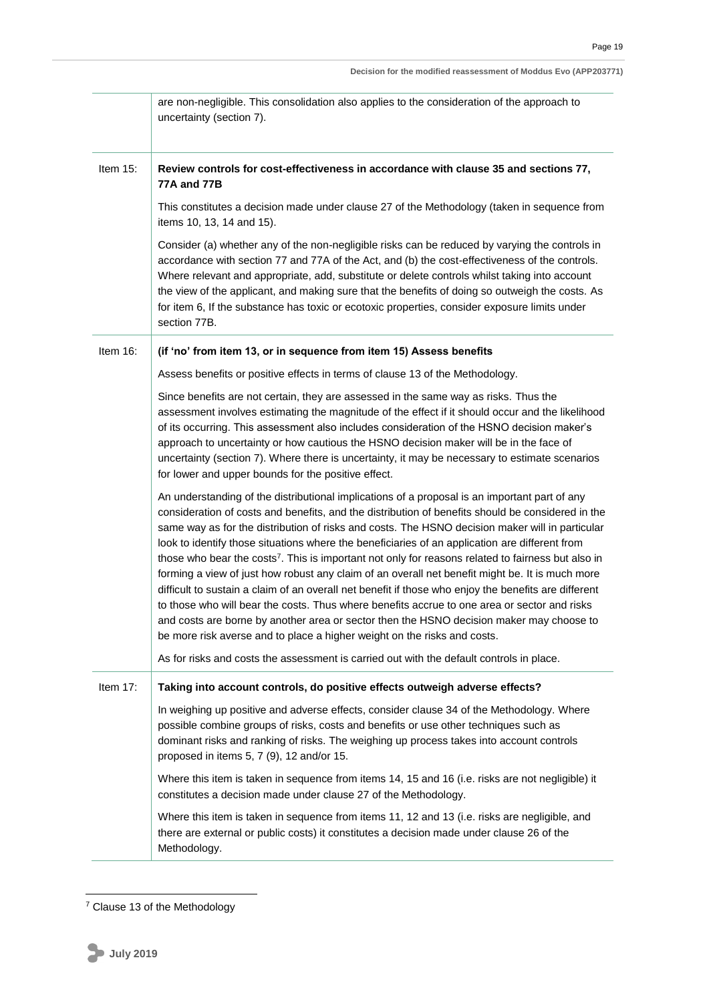|             | Decision for the modified reassessment of Moddus Evo (APP203771)                                                                                                                                                                                                                                                                                                                                                                                                                                                                                                                                                                                                                                                                                                                                                                                                                                                                                                                                             |  |  |
|-------------|--------------------------------------------------------------------------------------------------------------------------------------------------------------------------------------------------------------------------------------------------------------------------------------------------------------------------------------------------------------------------------------------------------------------------------------------------------------------------------------------------------------------------------------------------------------------------------------------------------------------------------------------------------------------------------------------------------------------------------------------------------------------------------------------------------------------------------------------------------------------------------------------------------------------------------------------------------------------------------------------------------------|--|--|
|             | are non-negligible. This consolidation also applies to the consideration of the approach to<br>uncertainty (section 7).                                                                                                                                                                                                                                                                                                                                                                                                                                                                                                                                                                                                                                                                                                                                                                                                                                                                                      |  |  |
| Item $15$ : | Review controls for cost-effectiveness in accordance with clause 35 and sections 77,<br>77A and 77B                                                                                                                                                                                                                                                                                                                                                                                                                                                                                                                                                                                                                                                                                                                                                                                                                                                                                                          |  |  |
|             | This constitutes a decision made under clause 27 of the Methodology (taken in sequence from<br>items 10, 13, 14 and 15).                                                                                                                                                                                                                                                                                                                                                                                                                                                                                                                                                                                                                                                                                                                                                                                                                                                                                     |  |  |
|             | Consider (a) whether any of the non-negligible risks can be reduced by varying the controls in<br>accordance with section 77 and 77A of the Act, and (b) the cost-effectiveness of the controls.<br>Where relevant and appropriate, add, substitute or delete controls whilst taking into account<br>the view of the applicant, and making sure that the benefits of doing so outweigh the costs. As<br>for item 6, If the substance has toxic or ecotoxic properties, consider exposure limits under<br>section 77B.                                                                                                                                                                                                                                                                                                                                                                                                                                                                                        |  |  |
| Item 16:    | (if 'no' from item 13, or in sequence from item 15) Assess benefits                                                                                                                                                                                                                                                                                                                                                                                                                                                                                                                                                                                                                                                                                                                                                                                                                                                                                                                                          |  |  |
|             | Assess benefits or positive effects in terms of clause 13 of the Methodology.                                                                                                                                                                                                                                                                                                                                                                                                                                                                                                                                                                                                                                                                                                                                                                                                                                                                                                                                |  |  |
|             | Since benefits are not certain, they are assessed in the same way as risks. Thus the<br>assessment involves estimating the magnitude of the effect if it should occur and the likelihood<br>of its occurring. This assessment also includes consideration of the HSNO decision maker's<br>approach to uncertainty or how cautious the HSNO decision maker will be in the face of<br>uncertainty (section 7). Where there is uncertainty, it may be necessary to estimate scenarios<br>for lower and upper bounds for the positive effect.                                                                                                                                                                                                                                                                                                                                                                                                                                                                    |  |  |
|             | An understanding of the distributional implications of a proposal is an important part of any<br>consideration of costs and benefits, and the distribution of benefits should be considered in the<br>same way as for the distribution of risks and costs. The HSNO decision maker will in particular<br>look to identify those situations where the beneficiaries of an application are different from<br>those who bear the costs <sup>7</sup> . This is important not only for reasons related to fairness but also in<br>forming a view of just how robust any claim of an overall net benefit might be. It is much more<br>difficult to sustain a claim of an overall net benefit if those who enjoy the benefits are different<br>to those who will bear the costs. Thus where benefits accrue to one area or sector and risks<br>and costs are borne by another area or sector then the HSNO decision maker may choose to<br>be more risk averse and to place a higher weight on the risks and costs. |  |  |
|             | As for risks and costs the assessment is carried out with the default controls in place.                                                                                                                                                                                                                                                                                                                                                                                                                                                                                                                                                                                                                                                                                                                                                                                                                                                                                                                     |  |  |
| Item $17$ : | Taking into account controls, do positive effects outweigh adverse effects?                                                                                                                                                                                                                                                                                                                                                                                                                                                                                                                                                                                                                                                                                                                                                                                                                                                                                                                                  |  |  |
|             | In weighing up positive and adverse effects, consider clause 34 of the Methodology. Where<br>possible combine groups of risks, costs and benefits or use other techniques such as<br>dominant risks and ranking of risks. The weighing up process takes into account controls<br>proposed in items 5, 7 (9), 12 and/or 15.                                                                                                                                                                                                                                                                                                                                                                                                                                                                                                                                                                                                                                                                                   |  |  |
|             | Where this item is taken in sequence from items 14, 15 and 16 (i.e. risks are not negligible) it<br>constitutes a decision made under clause 27 of the Methodology.                                                                                                                                                                                                                                                                                                                                                                                                                                                                                                                                                                                                                                                                                                                                                                                                                                          |  |  |
|             | Where this item is taken in sequence from items 11, 12 and 13 (i.e. risks are negligible, and<br>there are external or public costs) it constitutes a decision made under clause 26 of the<br>Methodology.                                                                                                                                                                                                                                                                                                                                                                                                                                                                                                                                                                                                                                                                                                                                                                                                   |  |  |

 $7$  Clause 13 of the Methodology

**.**